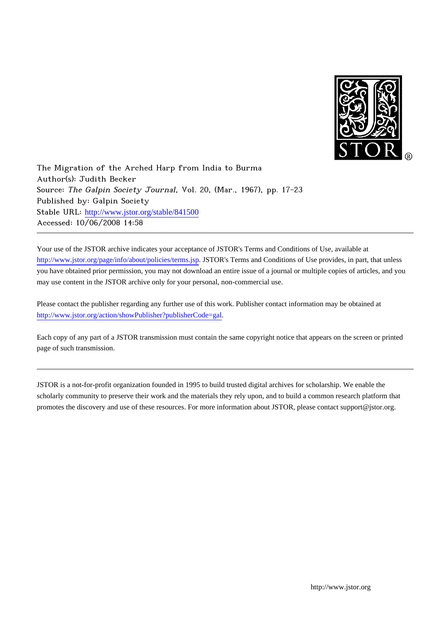

The Migration of the Arched Harp from India to Burma Author(s): Judith Becker Source: The Galpin Society Journal, Vol. 20, (Mar., 1967), pp. 17-23 Published by: Galpin Society Stable URL: [http://www.jstor.org/stable/841500](http://www.jstor.org/stable/841500?origin=JSTOR-pdf) Accessed: 10/06/2008 14:58

Your use of the JSTOR archive indicates your acceptance of JSTOR's Terms and Conditions of Use, available at <http://www.jstor.org/page/info/about/policies/terms.jsp>. JSTOR's Terms and Conditions of Use provides, in part, that unless you have obtained prior permission, you may not download an entire issue of a journal or multiple copies of articles, and you may use content in the JSTOR archive only for your personal, non-commercial use.

Please contact the publisher regarding any further use of this work. Publisher contact information may be obtained at <http://www.jstor.org/action/showPublisher?publisherCode=gal>.

Each copy of any part of a JSTOR transmission must contain the same copyright notice that appears on the screen or printed page of such transmission.

JSTOR is a not-for-profit organization founded in 1995 to build trusted digital archives for scholarship. We enable the scholarly community to preserve their work and the materials they rely upon, and to build a common research platform that promotes the discovery and use of these resources. For more information about JSTOR, please contact support@jstor.org.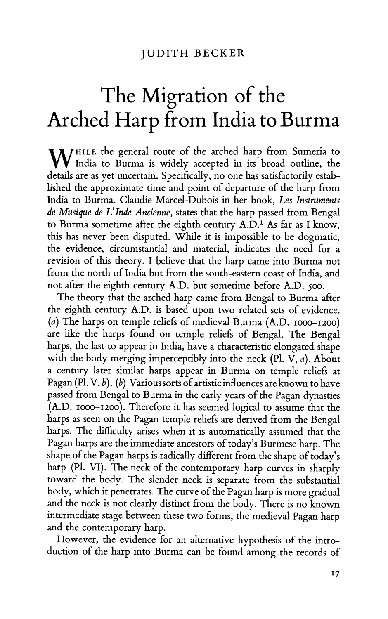## **The Migration of the Arched Harp from India to Burma**

W<sup>HILE</sup> the general route of the arched harp from Sumeria to **India to Burma is widely accepted in its broad outline, the details are as yet uncertain. Specifically, no one has satisfactorily established the approximate time and point of departure of the harp from India to Burma. Claudie Marcel-Dubois in her book, Les Instruments de Musique de L'Inde Ancienne, states that the harp passed from Bengal to Burma sometime after the eighth century A.D.1 As far as I know, this has never been disputed. While it is impossible to be dogmatic, the evidence, circumstantial and material, indicates the need for a revision of this theory. I believe that the harp came into Burma not from the north of India but from the south-eastern coast of India, and not after the eighth century A.D. but sometime before A.D. 500.** 

**The theory that the arched harp came from Bengal to Burma after the eighth century A.D. is based upon two related sets of evidence. (a) The harps on temple reliefs of medieval Burma (A.D. Iooo-I200) are like the harps found on temple reliefs of Bengal. The Bengal harps, the last to appear in India, have a characteristic elongated shape with the body merging imperceptibly into the neck (P1. V, a). About a century later similar harps appear in Burma on temple reliefs at Pagan (P1. V, b). (b) Various sorts of artistic influences are known to have passed from Bengal to Burma in the early years of the Pagan dynasties (A.D. Io0-I200). Therefore it has seemed logical to assume that the harps as seen on the Pagan temple reliefs are derived from the Bengal harps. The difficulty arises when it is automatically assumed that the Pagan harps are the immediate ancestors of today's Burmese harp. The shape of the Pagan harps is radically different from the shape of today's harp (P1. VI). The neck of the contemporary harp curves in sharply toward the body. The slender neck is separate from the substantial body, which it penetrates. The curve of the Pagan harp is more gradual and the neck is not clearly distinct from the body. There is no known intermediate stage between these two forms, the medieval Pagan harp and the contemporary harp.** 

**However, the evidence for an alternative hypothesis of the introduction of the harp into Burma can be found among the records of**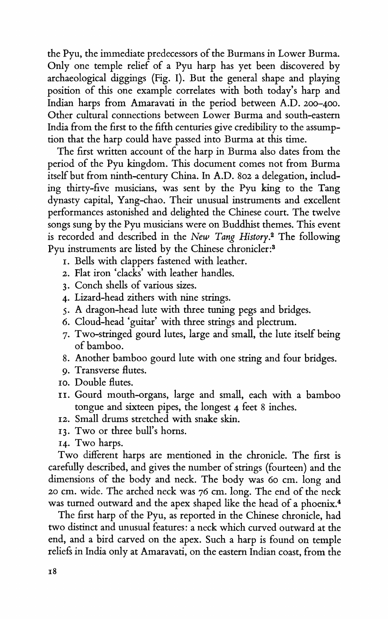**the Pyu, the immediate predecessors of the Burmans in Lower Burma. Only one temple relief of a Pyu harp has yet been discovered by archaeological diggings (Fig. I). But the general shape and playing position of this one example correlates with both today's harp and Indian harps from Amaravati in the period between A.D. 200-400. Other cultural connections between Lower Burma and south-eastern India from the first to the fifth centuries give credibility to the assumption that the harp could have passed into Burma at this time.** 

**The first written account of the harp in Burma also dates from the period of the Pyu kingdom. This document comes not from Burma itself but from ninth-century China. In A.D. 802 a delegation, including thirty-five musicians, was sent by the Pyu king to the Tang dynasty capital, Yang-chao. Their unusual instruments and excellent performances astonished and delighted the Chinese court. The twelve songs sung by the Pyu musicians were on Buddhist themes. This event is recorded and described in the New Tang History.2 The following Pyu instruments are listed by the Chinese chronicler:3** 

- **I. Bells with clappers fastened with leather.**
- **2. Flat iron 'clacks' with leather handles.**
- **3. Conch shells of various sizes.**
- **4. Lizard-head zithers with nine strings.**
- **5. A dragon-head lute with three tuning pegs and bridges.**
- **6. Cloud-head 'guitar' with three strings and plectrum.**
- **7. Two-stringed gourd lutes, large and small, the lute itself being of bamboo.**
- **8. Another bamboo gourd lute with one string and four bridges.**
- **9. Transverse flutes.**
- **Io. Double flutes.**
- **11. Gourd mouth-organs, large and small, each with a bamboo tongue and sixteen pipes, the longest 4 feet 8 inches.**
- **12. Small drums stretched with snake skin.**
- **13. Two or three bull's horns.**
- **14. Two harps.**

**Two different harps are mentioned in the chronicle. The first is carefully described, and gives the number of strings (fourteen) and the dimensions of the body and neck. The body was 60 cm. long and <sup>20</sup>cm. wide. The arched neck was 76 cm. long. The end of the neck was turned outward and the apex shaped like the head of a phoenix.4** 

**The first harp of the Pyu, as reported in the Chinese chronicle, had two distinct and unusual features: a neck which curved outward at the end, and a bird carved on the apex. Such a harp is found on temple reliefs in India only at Amaravati, on the eastern Indian coast, from the**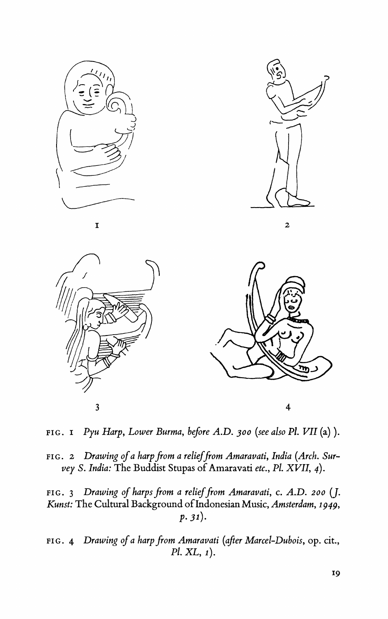

**FIG. I Pyu Harp, Lower Burma, before A.D. 300 (see also PI. VII (a)).** 

FIG. 2 Drawing of a harp from a relief from Amaravati, India (Arch. Sur**vey S. India: The Buddist Stupas of Amaravati etc., Pi. XVII, 4).** 

FIG. 3 Drawing of harps from a relief from Amaravati, c. A.D. 200 (J. **Kunst: The Cultural Background of Indonesian Music, Amsterdam, 1949,**   $p.31$ ).

**FIG. 4 Drawing of a harp from Amaravati (after Marcel-Dubois, op. cit., Pi. XL, 1).**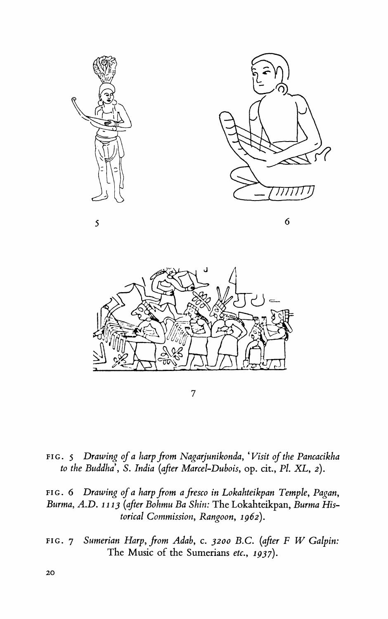



**7** 

**FIG. 5 Drawing of a harp from Nagarjunikonda, 'Visit of the Pancacikha to the Buddha', S. India (after Marcel-Dubois, op. cit., PI. XL, 2).** 

FIG. 6 Drawing of a harp from a fresco in Lokahteikpan Temple, Pagan, **Burma, A.D. 1113 (after Bohmu Ba Shin: The Lokahteikpan, Burma Historical Commission, Rangoon, 1962).** 

**FIG. 7 Sumerian Harp, from Adab, c. 3200 B.C. (after F W Galpin: The Music of the Sumerians etc., 1937).**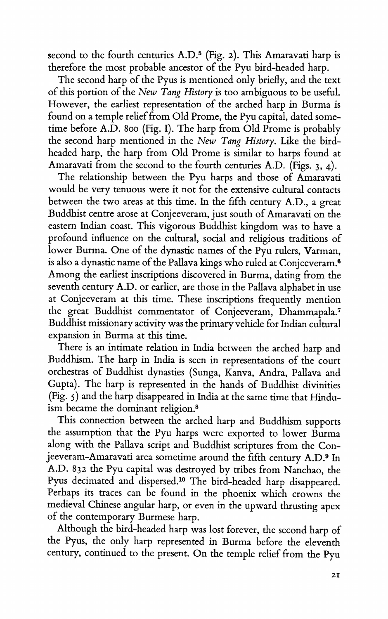**second to the fourth centuries A.D.5 (Fig. 2). This Amaravati harp is therefore the most probable ancestor of the Pyu bird-headed harp.** 

**The second harp of the Pyus is mentioned only briefly, and the text of this portion of the New Tang History is too ambiguous to be useful. However, the earliest representation of the arched harp in Burma is found on a temple relief from Old Prome, the Pyu capital, dated sometime before A.D. 800 (Fig. I). The harp from Old Prome is probably the second harp mentioned in the New Tang History. Like the birdheaded harp, the harp from Old Prome is similar to harps found at Amaravati from the second to the fourth centuries A.D. (Figs. 3, 4).** 

**The relationship between the Pyu harps and those of Amaravati would be very tenuous were it not for the extensive cultural contacts between the two areas at this time. In the fifth century A.D., a great Buddhist centre arose at Conjeeveram, just south of Amaravati on the eastern Indian coast. This vigorous Buddhist kingdom was to have a profound influence on the cultural, social and religious traditions of lower Burma. One of the dynastic names of the Pyu rulers, Varman, is also a dynastic name of the Pallava kings who ruled at Conjeeveram.6 Among the earliest inscriptions discovered in Burma, dating from the seventh century A.D. or earlier, are those in the Pallava alphabet in use at Conjeeveram at this time. These inscriptions frequently mention the great Buddhist commentator of Conjeeveram, Dhammapala.7 Buddhist missionary activity was the primary vehicle for Indian cultural expansion in Burma at this time.** 

**There is an intimate relation in India between the arched harp and Buddhism. The harp in India is seen in representations of the court orchestras of Buddhist dynasties (Sunga, Kanva, Andra, Pallava and Gupta). The harp is represented in the hands of Buddhist divinities (Fig. 5) and the harp disappeared in India at the same time that Hinduism became the dominant religion.8** 

**This connection between the arched harp and Buddhism supports the assumption that the Pyu harps were exported to lower Burma along with the Pallava script and Buddhist scriptures from the Conjeeveram-Amaravati area sometime around the fifth century A.D.9 In A.D. 832 the Pyu capital was destroyed by tribes from Nanchao, the**  Pyus decimated and dispersed.<sup>10</sup> The bird-headed harp disappeared. **Perhaps its traces can be found in the phoenix which crowns the medieval Chinese angular harp, or even in the upward thrusting apex of the contemporary Burmese harp.** 

**Although the bird-headed harp was lost forever, the second harp of the Pyus, the only harp represented in Burma before the eleventh century, continued to the present. On the temple relief from the Pyu**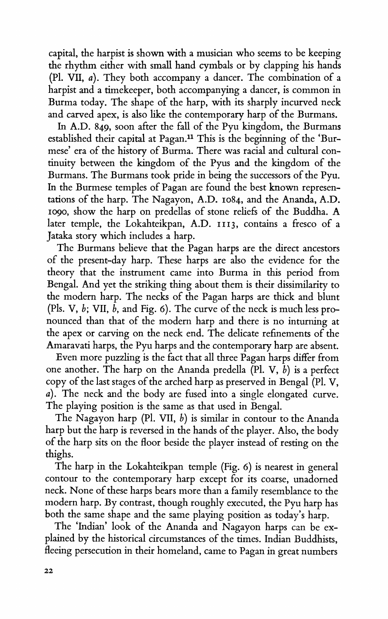**capital, the harpist is shown with a musician who seems to be keeping the rhythm either with small hand cymbals or by clapping his hands (P1. VII, a). They both accompany a dancer. The combination of a harpist and a timekeeper, both accompanying a dancer, is common in Burma today. The shape of the harp, with its sharply incurved neck and carved apex, is also like the contemporary harp of the Burmans.** 

**In A.D. 849, soon after the fall of the Pyu kingdom, the Burmans established their capital at Pagan." This is the beginning of the 'Burmese' era of the history of Burma. There was racial and cultural continuity between the kingdom of the Pyus and the kingdom of the Burmans. The Burmans took pride in being the successors of the Pyu. In the Burmese temples of Pagan are found the best known representations of the harp. The Nagayon, A.D. Io84, and the Ananda, A.D. o190, show the harp on predellas of stone reliefs of the Buddha. A later temple, the Lokahteikpan, A.D. II3, contains a fresco of a Jataka story which includes a harp.** 

**The Burmans believe that the Pagan harps are the direct ancestors of the present-day harp. These harps are also the evidence for the theory that the instrument came into Burma in this period from Bengal. And yet the striking thing about them is their dissimilarity to the modern harp. The necks of the Pagan harps are thick and blunt (Pls. V, b; VII, b, and Fig. 6). The curve of the neck is much less pronounced than that of the modem harp and there is no inturing at the apex or carving on the neck end. The delicate refinements of the Amaravati harps, the Pyu harps and the contemporary harp are absent.** 

**Even more puzzling is the fact that all three Pagan harps differ from**  one another. The harp on the Ananda predella  $(Pl. V, b)$  is a perfect **copy of the last stages of the arched harp as preserved in Bengal (P1. V, a). The neck and the body are fused into a single elongated curve. The playing position is the same as that used in Bengal.** 

**The Nagayon harp (P1. VII, b) is similar in contour to the Ananda harp but the harp is reversed in the hands of the player. Also, the body of the harp sits on the floor beside the player instead of resting on the thighs.** 

**The harp in the Lokahteikpan temple (Fig. 6) is nearest in general contour to the contemporary harp except for its coarse, unadorned neck. None of these harps bears more than a family resemblance to the modern harp. By contrast, though roughly executed, the Pyu harp has both the same shape and the same playing position as today's harp.** 

**The 'Indian' look of the Ananda and Nagayon harps can be explained by the historical circumstances of the times. Indian Buddhists, fleeing persecution in their homeland, came to Pagan in great numbers**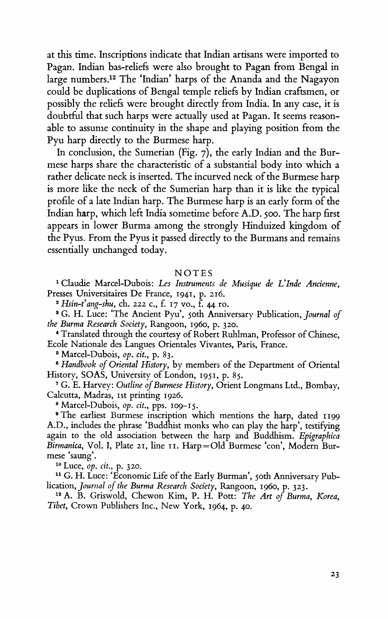**at this time. Inscriptions indicate that Indian artisans were imported to Pagan. Indian bas-reliefs were also brought to Pagan from Bengal in large numbers.l2 The 'Indian' harps of the Ananda and the Nagayon could be duplications of Bengal temple reliefs by Indian craftsmen, or possibly the reliefs were brought directly from India. In any case, it is doubtful that such harps were actually used at Pagan. It seems reasonable to assume continuity in the shape and playing position from the Pyu harp directly to the Burmese harp.** 

**In conclusion, the Sumerian (Fig. 7), the early Indian and the Burmese harps share the characteristic of a substantial body into which a rather delicate neck is inserted. The incurved neck of the Burmese harp is more like the neck of the Sumerian harp than it is like the typical profile of a late Indian harp. The Burmese harp is an early form of the Indian harp, which left India sometime before A.D. 500. The harp first appears in lower Burma among the strongly Hinduized kingdom of the Pyus. From the Pyus it passed directly to the Burmans and remains essentially unchanged today.** 

## **NOTES**

**1Claudie Marcel-Dubois: Les Instruments de Musique de L'Inde Ancienne, Presses Universitaires De France, 1941, p. 216.** 

**<sup>2</sup>Hsin-t'ang-shu, ch. 222 c., f. 17 vo., f. 44 ro.** 

<sup>8</sup> G. H. Luce: 'The Ancient Pyu', soth Anniversary Publication, Journal of the Burma Research Society, Rangoon, 1960, p. 320.<br>
<sup>4</sup> Translated through the courtesy of Robert Ruhlman, Professor of Chinese, Ecole Nationale d

**Ecole Nationales Becomist** Match-Dubois, *op. cit.*, p. 83.<br>*6* Handbook of Oriental History, by members of the Department of Oriental History, SOAS, University of London, 1951, p. 85.

<sup>7</sup> G. E. Harvey: Outline of Burmese History, Orient Longmans Ltd., Bombay, **Calcutta, Madras, Ist printing 1926.** 

**<sup>8</sup>Marcel-Dubois, op. cit., pps. io9-I5.** 

**9The earliest Burmese inscription which mentions the harp, dated 1199 A.D., includes the phrase 'Buddhist monks who can play the harp', testifying again to the old association between the harp and Buddhism. Epigraphica Birmanica, Vol. I, Plate 2I, line ii. Harp=Old Burmese 'con', Modern Bur**mese 'saung'.<br><sup>10</sup> Luce, *op. cit.*, p. 320.

<sup>11</sup> G. H. Luce: 'Economic Life of the Early Burman', 5oth Anniversary Pub**lication, Journal of the Burma Research Society, Rangoon, 1960, p. 323.** 

**<sup>12</sup>A. B. Griswold, Chewon Kim, P. H. Pott: The Art of Burma, Korea, Tibet, Crown Publishers Inc., New York, 1964, p. 40.**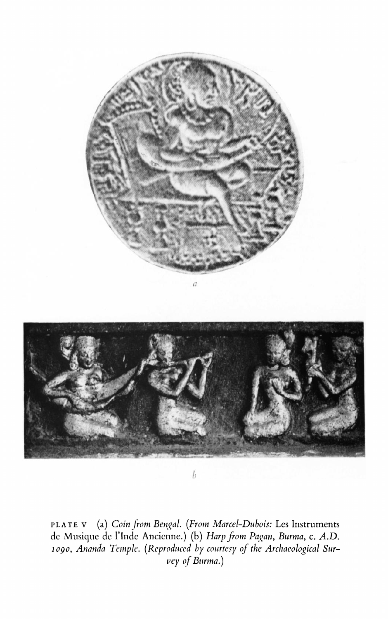

**PLATE V (a) Coin from Bengal. (From Marcel-Dubois: Les Instruments**  de Musique de l'Inde Ancienne.) (b) *Harp from Pagan, Burma, c. A.D.* **logo, Ananda Temple. (Reprodtced by courtesy of the Archaeological Survey of Burma.)**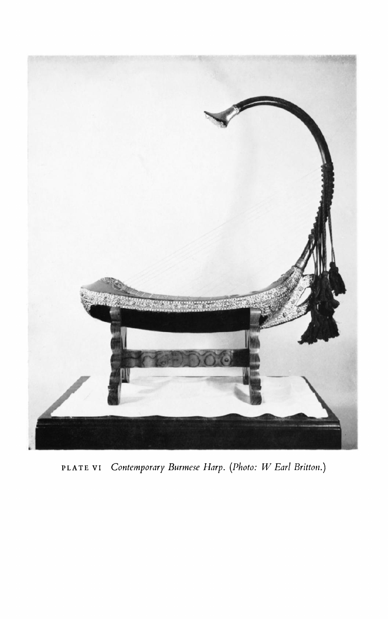

**PLATE VI Contemporary Burmese Harp. (Photo: W Earl Britton.)**